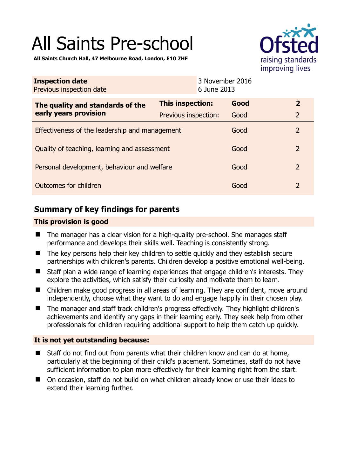# All Saints Pre-school



**All Saints Church Hall, 47 Melbourne Road, London, E10 7HF** 

| <b>Inspection date</b><br>Previous inspection date<br>6 June 2013 |                      | 3 November 2016 |                |
|-------------------------------------------------------------------|----------------------|-----------------|----------------|
| The quality and standards of the<br>early years provision         | This inspection:     | Good            | $\overline{2}$ |
|                                                                   | Previous inspection: | Good            | $\overline{2}$ |
| Effectiveness of the leadership and management                    |                      | Good            | $\overline{2}$ |
| Quality of teaching, learning and assessment                      |                      | Good            | $\overline{2}$ |
| Personal development, behaviour and welfare                       |                      | Good            | $\overline{2}$ |
| Outcomes for children                                             |                      | Good            | $\overline{2}$ |

# **Summary of key findings for parents**

## **This provision is good**

- The manager has a clear vision for a high-quality pre-school. She manages staff performance and develops their skills well. Teaching is consistently strong.
- The key persons help their key children to settle quickly and they establish secure partnerships with children's parents. Children develop a positive emotional well-being.
- Staff plan a wide range of learning experiences that engage children's interests. They explore the activities, which satisfy their curiosity and motivate them to learn.
- Children make good progress in all areas of learning. They are confident, move around independently, choose what they want to do and engage happily in their chosen play.
- The manager and staff track children's progress effectively. They highlight children's achievements and identify any gaps in their learning early. They seek help from other professionals for children requiring additional support to help them catch up quickly.

# **It is not yet outstanding because:**

- Staff do not find out from parents what their children know and can do at home, particularly at the beginning of their child's placement. Sometimes, staff do not have sufficient information to plan more effectively for their learning right from the start.
- On occasion, staff do not build on what children already know or use their ideas to extend their learning further.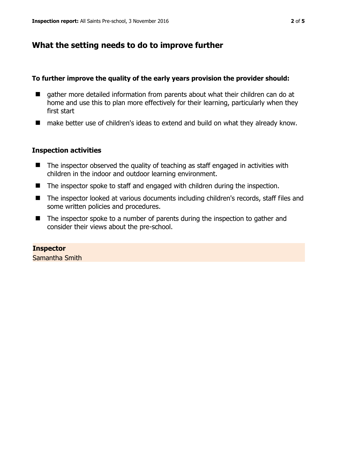# **What the setting needs to do to improve further**

#### **To further improve the quality of the early years provision the provider should:**

- gather more detailed information from parents about what their children can do at home and use this to plan more effectively for their learning, particularly when they first start
- make better use of children's ideas to extend and build on what they already know.

#### **Inspection activities**

- $\blacksquare$  The inspector observed the quality of teaching as staff engaged in activities with children in the indoor and outdoor learning environment.
- The inspector spoke to staff and engaged with children during the inspection.
- The inspector looked at various documents including children's records, staff files and some written policies and procedures.
- The inspector spoke to a number of parents during the inspection to gather and consider their views about the pre-school.

**Inspector**  Samantha Smith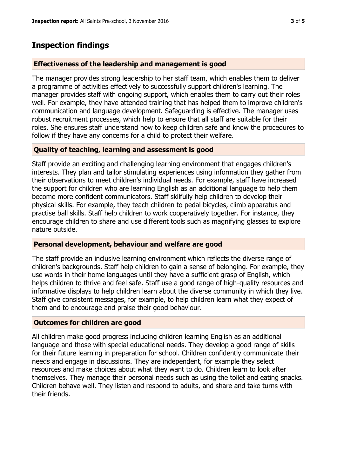# **Inspection findings**

## **Effectiveness of the leadership and management is good**

The manager provides strong leadership to her staff team, which enables them to deliver a programme of activities effectively to successfully support children's learning. The manager provides staff with ongoing support, which enables them to carry out their roles well. For example, they have attended training that has helped them to improve children's communication and language development. Safeguarding is effective. The manager uses robust recruitment processes, which help to ensure that all staff are suitable for their roles. She ensures staff understand how to keep children safe and know the procedures to follow if they have any concerns for a child to protect their welfare.

# **Quality of teaching, learning and assessment is good**

Staff provide an exciting and challenging learning environment that engages children's interests. They plan and tailor stimulating experiences using information they gather from their observations to meet children's individual needs. For example, staff have increased the support for children who are learning English as an additional language to help them become more confident communicators. Staff skilfully help children to develop their physical skills. For example, they teach children to pedal bicycles, climb apparatus and practise ball skills. Staff help children to work cooperatively together. For instance, they encourage children to share and use different tools such as magnifying glasses to explore nature outside.

#### **Personal development, behaviour and welfare are good**

The staff provide an inclusive learning environment which reflects the diverse range of children's backgrounds. Staff help children to gain a sense of belonging. For example, they use words in their home languages until they have a sufficient grasp of English, which helps children to thrive and feel safe. Staff use a good range of high-quality resources and informative displays to help children learn about the diverse community in which they live. Staff give consistent messages, for example, to help children learn what they expect of them and to encourage and praise their good behaviour.

#### **Outcomes for children are good**

All children make good progress including children learning English as an additional language and those with special educational needs. They develop a good range of skills for their future learning in preparation for school. Children confidently communicate their needs and engage in discussions. They are independent, for example they select resources and make choices about what they want to do. Children learn to look after themselves. They manage their personal needs such as using the toilet and eating snacks. Children behave well. They listen and respond to adults, and share and take turns with their friends.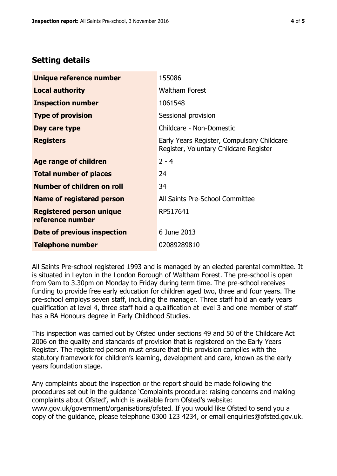# **Setting details**

| Unique reference number                             | 155086                                                                               |  |
|-----------------------------------------------------|--------------------------------------------------------------------------------------|--|
| <b>Local authority</b>                              | <b>Waltham Forest</b>                                                                |  |
| <b>Inspection number</b>                            | 1061548                                                                              |  |
| <b>Type of provision</b>                            | Sessional provision                                                                  |  |
| Day care type                                       | Childcare - Non-Domestic                                                             |  |
| <b>Registers</b>                                    | Early Years Register, Compulsory Childcare<br>Register, Voluntary Childcare Register |  |
| Age range of children                               | $2 - 4$                                                                              |  |
| <b>Total number of places</b>                       | 24                                                                                   |  |
| Number of children on roll                          | 34                                                                                   |  |
| Name of registered person                           | All Saints Pre-School Committee                                                      |  |
| <b>Registered person unique</b><br>reference number | RP517641                                                                             |  |
| Date of previous inspection                         | 6 June 2013                                                                          |  |
| <b>Telephone number</b>                             | 02089289810                                                                          |  |

All Saints Pre-school registered 1993 and is managed by an elected parental committee. It is situated in Leyton in the London Borough of Waltham Forest. The pre-school is open from 9am to 3.30pm on Monday to Friday during term time. The pre-school receives funding to provide free early education for children aged two, three and four years. The pre-school employs seven staff, including the manager. Three staff hold an early years qualification at level 4, three staff hold a qualification at level 3 and one member of staff has a BA Honours degree in Early Childhood Studies.

This inspection was carried out by Ofsted under sections 49 and 50 of the Childcare Act 2006 on the quality and standards of provision that is registered on the Early Years Register. The registered person must ensure that this provision complies with the statutory framework for children's learning, development and care, known as the early years foundation stage.

Any complaints about the inspection or the report should be made following the procedures set out in the guidance 'Complaints procedure: raising concerns and making complaints about Ofsted', which is available from Ofsted's website: www.gov.uk/government/organisations/ofsted. If you would like Ofsted to send you a copy of the guidance, please telephone 0300 123 4234, or email enquiries@ofsted.gov.uk.